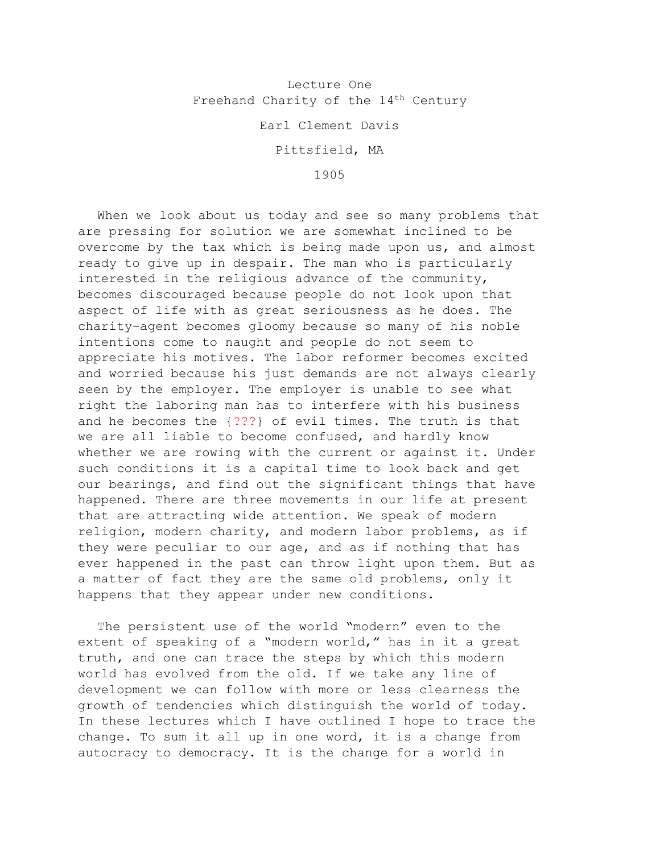## Lecture One Freehand Charity of the  $14<sup>th</sup>$  Century

Earl Clement Davis

Pittsfield, MA

1905

When we look about us today and see so many problems that are pressing for solution we are somewhat inclined to be overcome by the tax which is being made upon us, and almost ready to give up in despair. The man who is particularly interested in the religious advance of the community, becomes discouraged because people do not look upon that aspect of life with as great seriousness as he does. The charity-agent becomes gloomy because so many of his noble intentions come to naught and people do not seem to appreciate his motives. The labor reformer becomes excited and worried because his just demands are not always clearly seen by the employer. The employer is unable to see what right the laboring man has to interfere with his business and he becomes the {???} of evil times. The truth is that we are all liable to become confused, and hardly know whether we are rowing with the current or against it. Under such conditions it is a capital time to look back and get our bearings, and find out the significant things that have happened. There are three movements in our life at present that are attracting wide attention. We speak of modern religion, modern charity, and modern labor problems, as if they were peculiar to our age, and as if nothing that has ever happened in the past can throw light upon them. But as a matter of fact they are the same old problems, only it happens that they appear under new conditions.

The persistent use of the world "modern" even to the extent of speaking of a "modern world," has in it a great truth, and one can trace the steps by which this modern world has evolved from the old. If we take any line of development we can follow with more or less clearness the growth of tendencies which distinguish the world of today. In these lectures which I have outlined I hope to trace the change. To sum it all up in one word, it is a change from autocracy to democracy. It is the change for a world in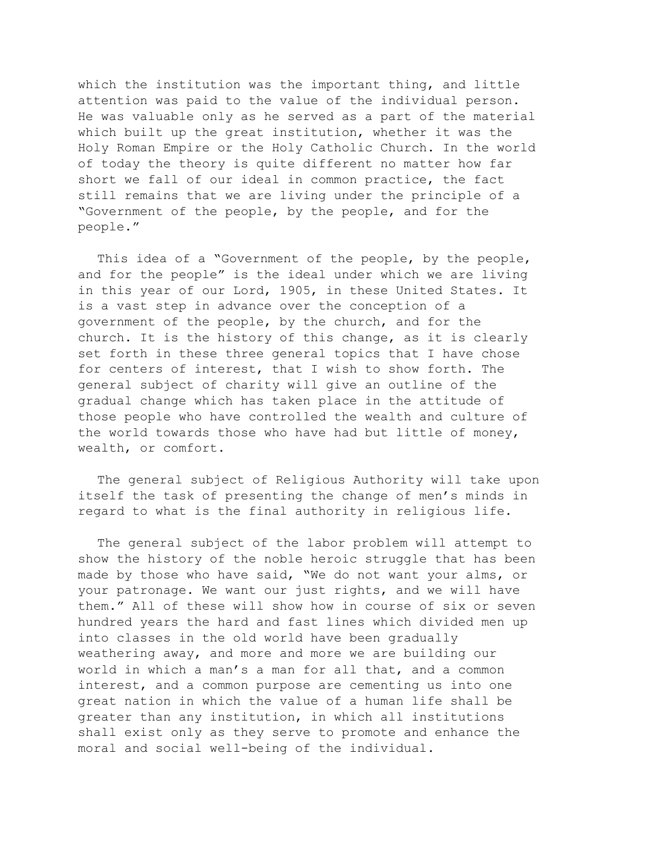which the institution was the important thing, and little attention was paid to the value of the individual person. He was valuable only as he served as a part of the material which built up the great institution, whether it was the Holy Roman Empire or the Holy Catholic Church. In the world of today the theory is quite different no matter how far short we fall of our ideal in common practice, the fact still remains that we are living under the principle of a "Government of the people, by the people, and for the people."

This idea of a "Government of the people, by the people, and for the people" is the ideal under which we are living in this year of our Lord, 1905, in these United States. It is a vast step in advance over the conception of a government of the people, by the church, and for the church. It is the history of this change, as it is clearly set forth in these three general topics that I have chose for centers of interest, that I wish to show forth. The general subject of charity will give an outline of the gradual change which has taken place in the attitude of those people who have controlled the wealth and culture of the world towards those who have had but little of money, wealth, or comfort.

The general subject of Religious Authority will take upon itself the task of presenting the change of men's minds in regard to what is the final authority in religious life.

The general subject of the labor problem will attempt to show the history of the noble heroic struggle that has been made by those who have said, "We do not want your alms, or your patronage. We want our just rights, and we will have them." All of these will show how in course of six or seven hundred years the hard and fast lines which divided men up into classes in the old world have been gradually weathering away, and more and more we are building our world in which a man's a man for all that, and a common interest, and a common purpose are cementing us into one great nation in which the value of a human life shall be greater than any institution, in which all institutions shall exist only as they serve to promote and enhance the moral and social well-being of the individual.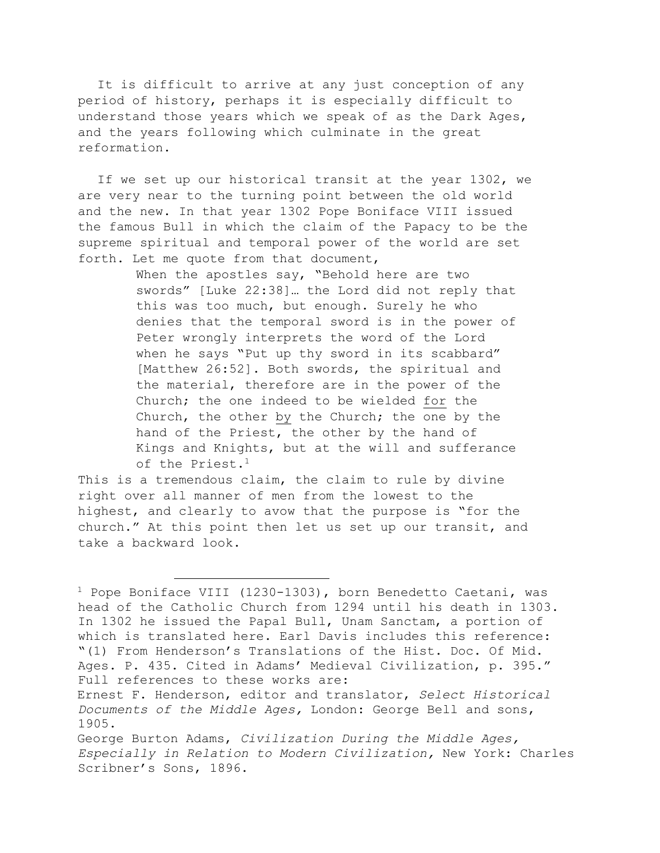It is difficult to arrive at any just conception of any period of history, perhaps it is especially difficult to understand those years which we speak of as the Dark Ages, and the years following which culminate in the great reformation.

If we set up our historical transit at the year 1302, we are very near to the turning point between the old world and the new. In that year 1302 Pope Boniface VIII issued the famous Bull in which the claim of the Papacy to be the supreme spiritual and temporal power of the world are set forth. Let me quote from that document,

> When the apostles say, "Behold here are two swords" [Luke 22:38]… the Lord did not reply that this was too much, but enough. Surely he who denies that the temporal sword is in the power of Peter wrongly interprets the word of the Lord when he says "Put up thy sword in its scabbard" [Matthew 26:52]. Both swords, the spiritual and the material, therefore are in the power of the Church; the one indeed to be wielded for the Church, the other by the Church; the one by the hand of the Priest, the other by the hand of Kings and Knights, but at the will and sufferance of the Priest.<sup>1</sup>

This is a tremendous claim, the claim to rule by divine right over all manner of men from the lowest to the highest, and clearly to avow that the purpose is "for the church." At this point then let us set up our transit, and take a backward look.

 $1$  Pope Boniface VIII (1230-1303), born Benedetto Caetani, was head of the Catholic Church from 1294 until his death in 1303. In 1302 he issued the Papal Bull, Unam Sanctam, a portion of which is translated here. Earl Davis includes this reference: "(1) From Henderson's Translations of the Hist. Doc. Of Mid. Ages. P. 435. Cited in Adams' Medieval Civilization, p. 395." Full references to these works are:

Ernest F. Henderson, editor and translator, *Select Historical Documents of the Middle Ages,* London: George Bell and sons, 1905.

George Burton Adams, *Civilization During the Middle Ages, Especially in Relation to Modern Civilization,* New York: Charles Scribner's Sons, 1896.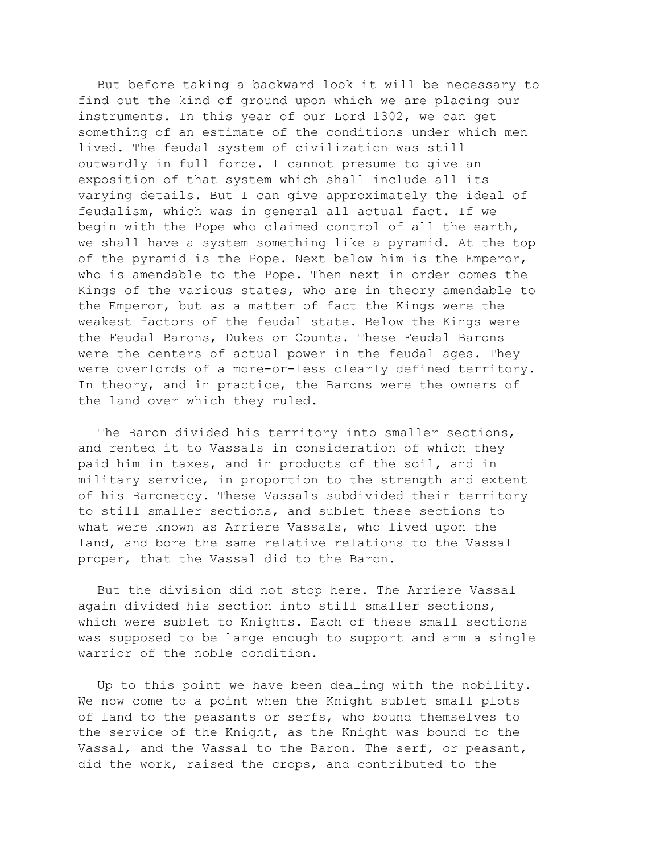But before taking a backward look it will be necessary to find out the kind of ground upon which we are placing our instruments. In this year of our Lord 1302, we can get something of an estimate of the conditions under which men lived. The feudal system of civilization was still outwardly in full force. I cannot presume to give an exposition of that system which shall include all its varying details. But I can give approximately the ideal of feudalism, which was in general all actual fact. If we begin with the Pope who claimed control of all the earth, we shall have a system something like a pyramid. At the top of the pyramid is the Pope. Next below him is the Emperor, who is amendable to the Pope. Then next in order comes the Kings of the various states, who are in theory amendable to the Emperor, but as a matter of fact the Kings were the weakest factors of the feudal state. Below the Kings were the Feudal Barons, Dukes or Counts. These Feudal Barons were the centers of actual power in the feudal ages. They were overlords of a more-or-less clearly defined territory. In theory, and in practice, the Barons were the owners of the land over which they ruled.

The Baron divided his territory into smaller sections, and rented it to Vassals in consideration of which they paid him in taxes, and in products of the soil, and in military service, in proportion to the strength and extent of his Baronetcy. These Vassals subdivided their territory to still smaller sections, and sublet these sections to what were known as Arriere Vassals, who lived upon the land, and bore the same relative relations to the Vassal proper, that the Vassal did to the Baron.

But the division did not stop here. The Arriere Vassal again divided his section into still smaller sections, which were sublet to Knights. Each of these small sections was supposed to be large enough to support and arm a single warrior of the noble condition.

Up to this point we have been dealing with the nobility. We now come to a point when the Knight sublet small plots of land to the peasants or serfs, who bound themselves to the service of the Knight, as the Knight was bound to the Vassal, and the Vassal to the Baron. The serf, or peasant, did the work, raised the crops, and contributed to the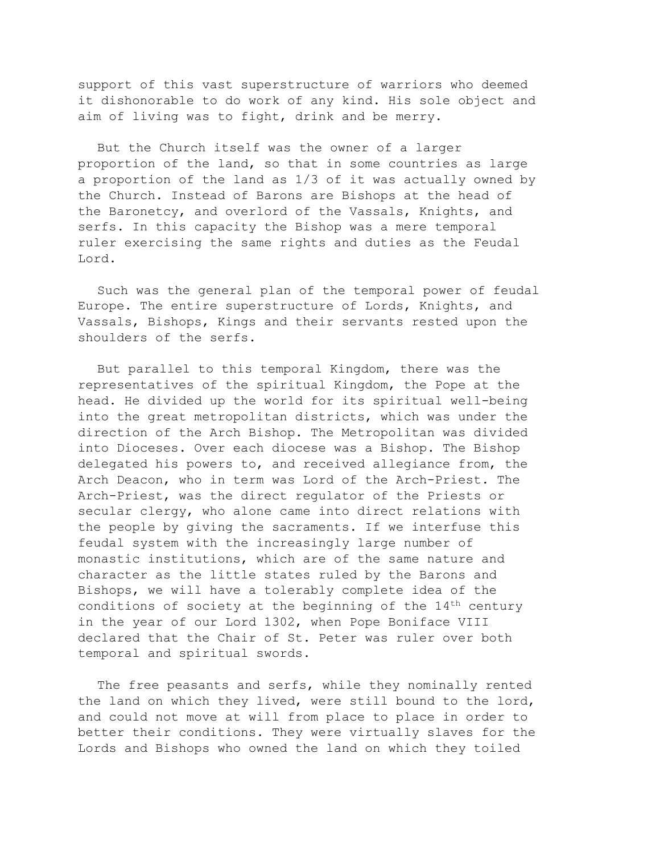support of this vast superstructure of warriors who deemed it dishonorable to do work of any kind. His sole object and aim of living was to fight, drink and be merry.

But the Church itself was the owner of a larger proportion of the land, so that in some countries as large a proportion of the land as 1/3 of it was actually owned by the Church. Instead of Barons are Bishops at the head of the Baronetcy, and overlord of the Vassals, Knights, and serfs. In this capacity the Bishop was a mere temporal ruler exercising the same rights and duties as the Feudal Lord.

Such was the general plan of the temporal power of feudal Europe. The entire superstructure of Lords, Knights, and Vassals, Bishops, Kings and their servants rested upon the shoulders of the serfs.

But parallel to this temporal Kingdom, there was the representatives of the spiritual Kingdom, the Pope at the head. He divided up the world for its spiritual well-being into the great metropolitan districts, which was under the direction of the Arch Bishop. The Metropolitan was divided into Dioceses. Over each diocese was a Bishop. The Bishop delegated his powers to, and received allegiance from, the Arch Deacon, who in term was Lord of the Arch-Priest. The Arch-Priest, was the direct regulator of the Priests or secular clergy, who alone came into direct relations with the people by giving the sacraments. If we interfuse this feudal system with the increasingly large number of monastic institutions, which are of the same nature and character as the little states ruled by the Barons and Bishops, we will have a tolerably complete idea of the conditions of society at the beginning of the 14th century in the year of our Lord 1302, when Pope Boniface VIII declared that the Chair of St. Peter was ruler over both temporal and spiritual swords.

The free peasants and serfs, while they nominally rented the land on which they lived, were still bound to the lord, and could not move at will from place to place in order to better their conditions. They were virtually slaves for the Lords and Bishops who owned the land on which they toiled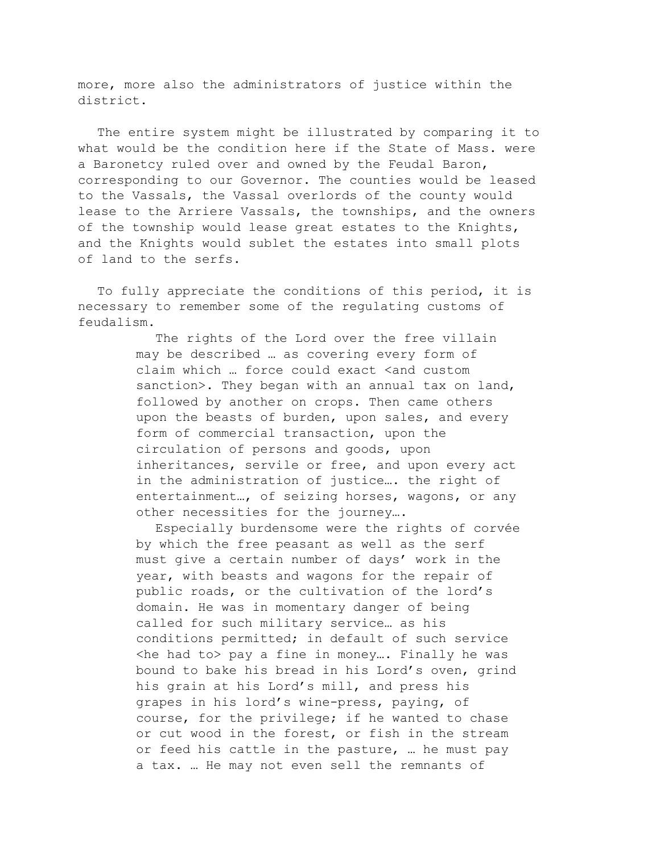more, more also the administrators of justice within the district.

The entire system might be illustrated by comparing it to what would be the condition here if the State of Mass. were a Baronetcy ruled over and owned by the Feudal Baron, corresponding to our Governor. The counties would be leased to the Vassals, the Vassal overlords of the county would lease to the Arriere Vassals, the townships, and the owners of the township would lease great estates to the Knights, and the Knights would sublet the estates into small plots of land to the serfs.

To fully appreciate the conditions of this period, it is necessary to remember some of the regulating customs of feudalism.

> The rights of the Lord over the free villain may be described … as covering every form of claim which ... force could exact <and custom sanction>. They began with an annual tax on land, followed by another on crops. Then came others upon the beasts of burden, upon sales, and every form of commercial transaction, upon the circulation of persons and goods, upon inheritances, servile or free, and upon every act in the administration of justice…. the right of entertainment…, of seizing horses, wagons, or any other necessities for the journey….

> Especially burdensome were the rights of corvée by which the free peasant as well as the serf must give a certain number of days' work in the year, with beasts and wagons for the repair of public roads, or the cultivation of the lord's domain. He was in momentary danger of being called for such military service… as his conditions permitted; in default of such service  $\langle$ he had to $>$  pay a fine in money... Finally he was bound to bake his bread in his Lord's oven, grind his grain at his Lord's mill, and press his grapes in his lord's wine-press, paying, of course, for the privilege; if he wanted to chase or cut wood in the forest, or fish in the stream or feed his cattle in the pasture, … he must pay a tax. … He may not even sell the remnants of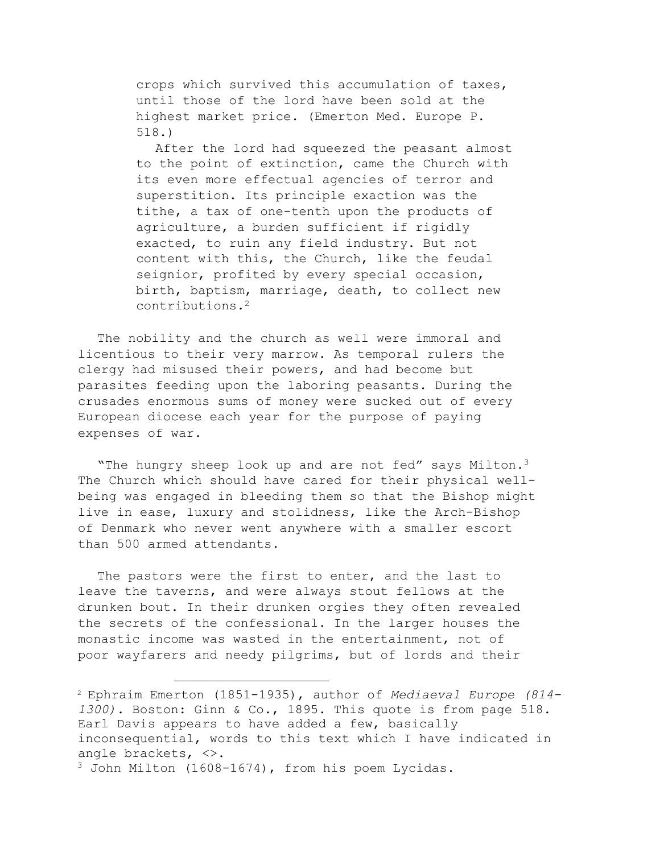crops which survived this accumulation of taxes, until those of the lord have been sold at the highest market price. (Emerton Med. Europe P. 518.)

After the lord had squeezed the peasant almost to the point of extinction, came the Church with its even more effectual agencies of terror and superstition. Its principle exaction was the tithe, a tax of one-tenth upon the products of agriculture, a burden sufficient if rigidly exacted, to ruin any field industry. But not content with this, the Church, like the feudal seignior, profited by every special occasion, birth, baptism, marriage, death, to collect new contributions.2

The nobility and the church as well were immoral and licentious to their very marrow. As temporal rulers the clergy had misused their powers, and had become but parasites feeding upon the laboring peasants. During the crusades enormous sums of money were sucked out of every European diocese each year for the purpose of paying expenses of war.

"The hungry sheep look up and are not fed" says Milton.<sup>3</sup> The Church which should have cared for their physical wellbeing was engaged in bleeding them so that the Bishop might live in ease, luxury and stolidness, like the Arch-Bishop of Denmark who never went anywhere with a smaller escort than 500 armed attendants.

The pastors were the first to enter, and the last to leave the taverns, and were always stout fellows at the drunken bout. In their drunken orgies they often revealed the secrets of the confessional. In the larger houses the monastic income was wasted in the entertainment, not of poor wayfarers and needy pilgrims, but of lords and their

<sup>2</sup> Ephraim Emerton (1851-1935), author of *Mediaeval Europe (814- 1300).* Boston: Ginn & Co., 1895. This quote is from page 518. Earl Davis appears to have added a few, basically inconsequential, words to this text which I have indicated in angle brackets, <>.

<sup>3</sup> John Milton (1608-1674), from his poem Lycidas.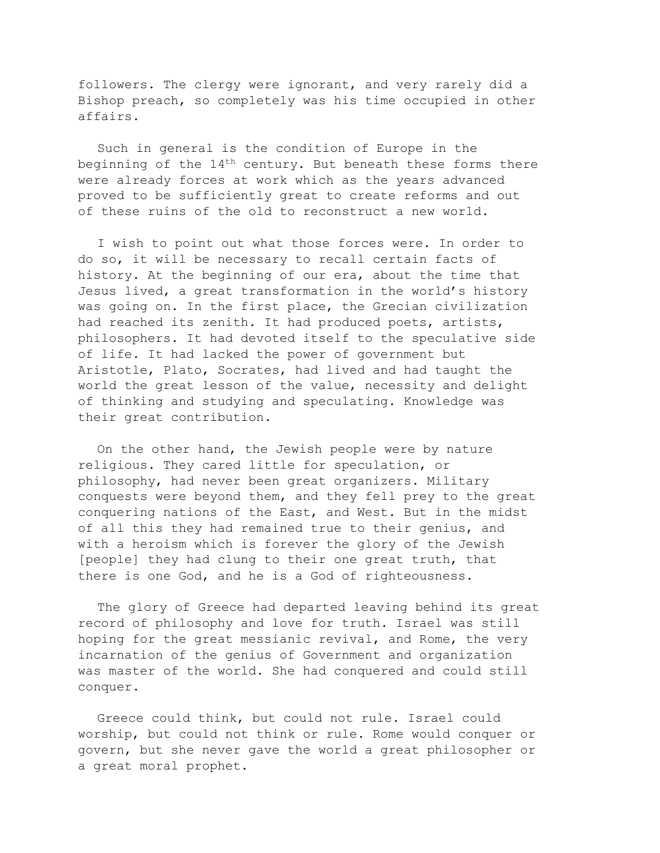followers. The clergy were ignorant, and very rarely did a Bishop preach, so completely was his time occupied in other affairs.

Such in general is the condition of Europe in the beginning of the  $14<sup>th</sup>$  century. But beneath these forms there were already forces at work which as the years advanced proved to be sufficiently great to create reforms and out of these ruins of the old to reconstruct a new world.

I wish to point out what those forces were. In order to do so, it will be necessary to recall certain facts of history. At the beginning of our era, about the time that Jesus lived, a great transformation in the world's history was going on. In the first place, the Grecian civilization had reached its zenith. It had produced poets, artists, philosophers. It had devoted itself to the speculative side of life. It had lacked the power of government but Aristotle, Plato, Socrates, had lived and had taught the world the great lesson of the value, necessity and delight of thinking and studying and speculating. Knowledge was their great contribution.

On the other hand, the Jewish people were by nature religious. They cared little for speculation, or philosophy, had never been great organizers. Military conquests were beyond them, and they fell prey to the great conquering nations of the East, and West. But in the midst of all this they had remained true to their genius, and with a heroism which is forever the glory of the Jewish [people] they had clung to their one great truth, that there is one God, and he is a God of righteousness.

The glory of Greece had departed leaving behind its great record of philosophy and love for truth. Israel was still hoping for the great messianic revival, and Rome, the very incarnation of the genius of Government and organization was master of the world. She had conquered and could still conquer.

Greece could think, but could not rule. Israel could worship, but could not think or rule. Rome would conquer or govern, but she never gave the world a great philosopher or a great moral prophet.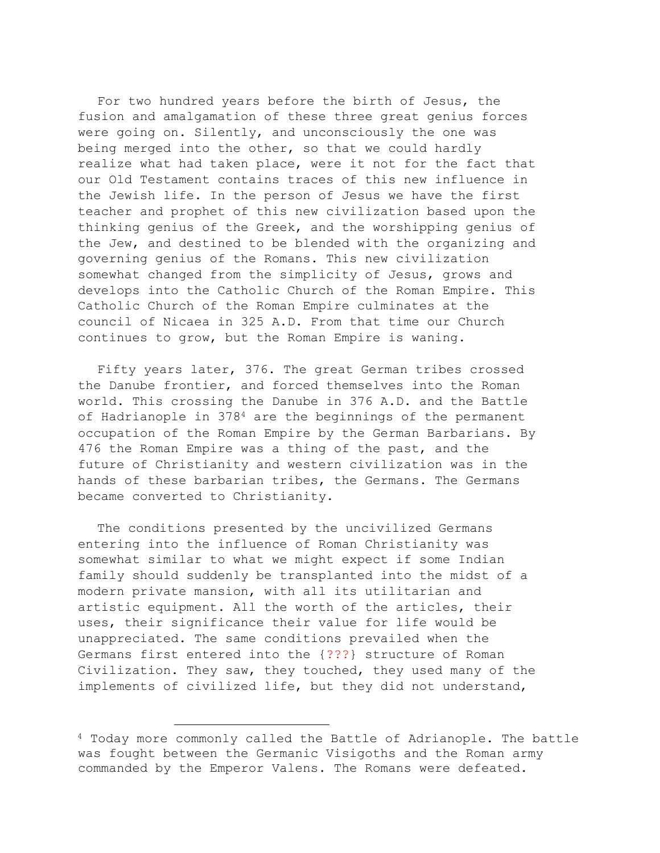For two hundred years before the birth of Jesus, the fusion and amalgamation of these three great genius forces were going on. Silently, and unconsciously the one was being merged into the other, so that we could hardly realize what had taken place, were it not for the fact that our Old Testament contains traces of this new influence in the Jewish life. In the person of Jesus we have the first teacher and prophet of this new civilization based upon the thinking genius of the Greek, and the worshipping genius of the Jew, and destined to be blended with the organizing and governing genius of the Romans. This new civilization somewhat changed from the simplicity of Jesus, grows and develops into the Catholic Church of the Roman Empire. This Catholic Church of the Roman Empire culminates at the council of Nicaea in 325 A.D. From that time our Church continues to grow, but the Roman Empire is waning.

Fifty years later, 376. The great German tribes crossed the Danube frontier, and forced themselves into the Roman world. This crossing the Danube in 376 A.D. and the Battle of Hadrianople in  $378<sup>4</sup>$  are the beginnings of the permanent occupation of the Roman Empire by the German Barbarians. By 476 the Roman Empire was a thing of the past, and the future of Christianity and western civilization was in the hands of these barbarian tribes, the Germans. The Germans became converted to Christianity.

The conditions presented by the uncivilized Germans entering into the influence of Roman Christianity was somewhat similar to what we might expect if some Indian family should suddenly be transplanted into the midst of a modern private mansion, with all its utilitarian and artistic equipment. All the worth of the articles, their uses, their significance their value for life would be unappreciated. The same conditions prevailed when the Germans first entered into the {???} structure of Roman Civilization. They saw, they touched, they used many of the implements of civilized life, but they did not understand,

<sup>4</sup> Today more commonly called the Battle of Adrianople. The battle was fought between the Germanic Visigoths and the Roman army commanded by the Emperor Valens. The Romans were defeated.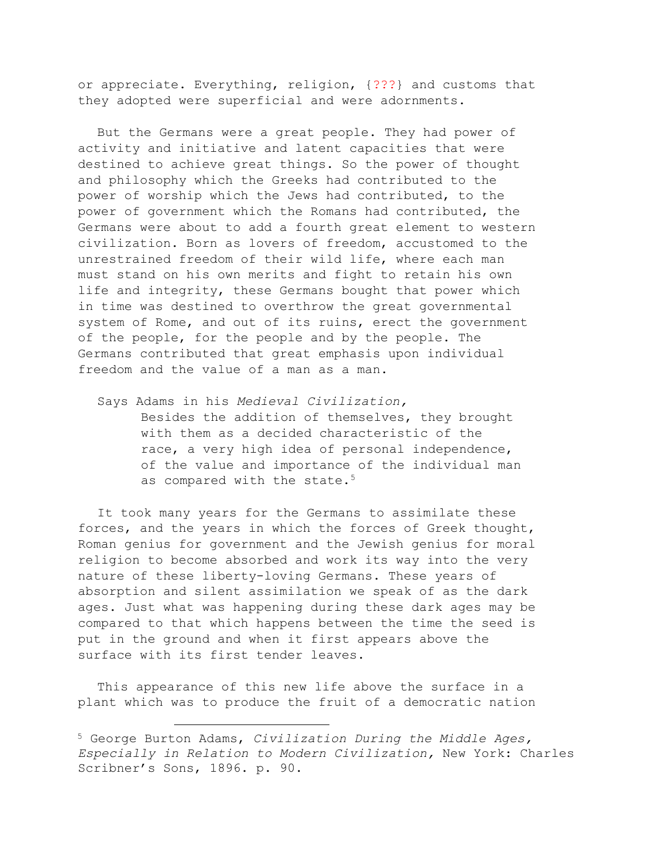or appreciate. Everything, religion, {???} and customs that they adopted were superficial and were adornments.

But the Germans were a great people. They had power of activity and initiative and latent capacities that were destined to achieve great things. So the power of thought and philosophy which the Greeks had contributed to the power of worship which the Jews had contributed, to the power of government which the Romans had contributed, the Germans were about to add a fourth great element to western civilization. Born as lovers of freedom, accustomed to the unrestrained freedom of their wild life, where each man must stand on his own merits and fight to retain his own life and integrity, these Germans bought that power which in time was destined to overthrow the great governmental system of Rome, and out of its ruins, erect the government of the people, for the people and by the people. The Germans contributed that great emphasis upon individual freedom and the value of a man as a man.

Says Adams in his *Medieval Civilization,* Besides the addition of themselves, they brought with them as a decided characteristic of the race, a very high idea of personal independence, of the value and importance of the individual man as compared with the state.<sup>5</sup>

It took many years for the Germans to assimilate these forces, and the years in which the forces of Greek thought, Roman genius for government and the Jewish genius for moral religion to become absorbed and work its way into the very nature of these liberty-loving Germans. These years of absorption and silent assimilation we speak of as the dark ages. Just what was happening during these dark ages may be compared to that which happens between the time the seed is put in the ground and when it first appears above the surface with its first tender leaves.

This appearance of this new life above the surface in a plant which was to produce the fruit of a democratic nation

<sup>5</sup> George Burton Adams, *Civilization During the Middle Ages, Especially in Relation to Modern Civilization,* New York: Charles Scribner's Sons, 1896. p. 90.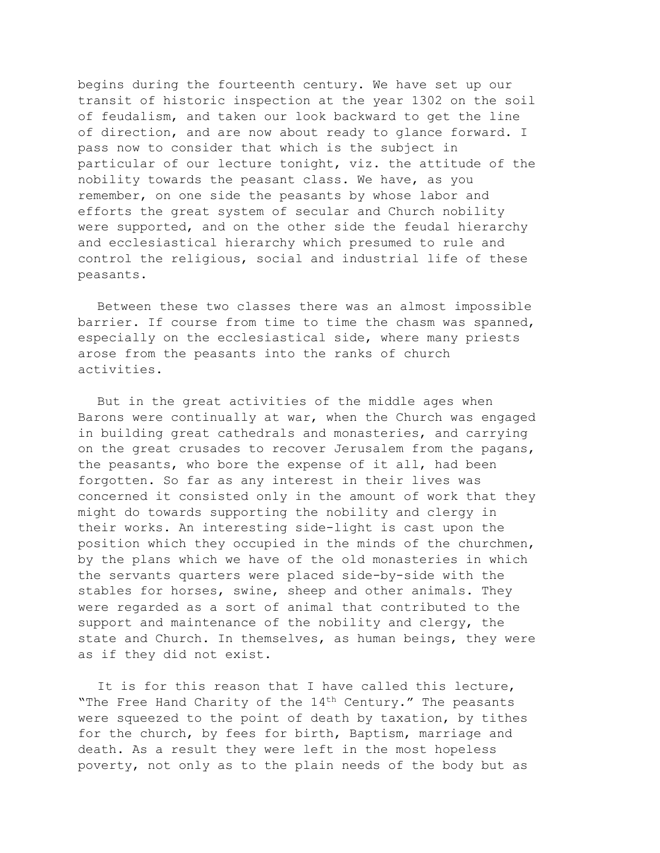begins during the fourteenth century. We have set up our transit of historic inspection at the year 1302 on the soil of feudalism, and taken our look backward to get the line of direction, and are now about ready to glance forward. I pass now to consider that which is the subject in particular of our lecture tonight, viz. the attitude of the nobility towards the peasant class. We have, as you remember, on one side the peasants by whose labor and efforts the great system of secular and Church nobility were supported, and on the other side the feudal hierarchy and ecclesiastical hierarchy which presumed to rule and control the religious, social and industrial life of these peasants.

Between these two classes there was an almost impossible barrier. If course from time to time the chasm was spanned, especially on the ecclesiastical side, where many priests arose from the peasants into the ranks of church activities.

But in the great activities of the middle ages when Barons were continually at war, when the Church was engaged in building great cathedrals and monasteries, and carrying on the great crusades to recover Jerusalem from the pagans, the peasants, who bore the expense of it all, had been forgotten. So far as any interest in their lives was concerned it consisted only in the amount of work that they might do towards supporting the nobility and clergy in their works. An interesting side-light is cast upon the position which they occupied in the minds of the churchmen, by the plans which we have of the old monasteries in which the servants quarters were placed side-by-side with the stables for horses, swine, sheep and other animals. They were regarded as a sort of animal that contributed to the support and maintenance of the nobility and clergy, the state and Church. In themselves, as human beings, they were as if they did not exist.

It is for this reason that I have called this lecture, "The Free Hand Charity of the  $14<sup>th</sup>$  Century." The peasants were squeezed to the point of death by taxation, by tithes for the church, by fees for birth, Baptism, marriage and death. As a result they were left in the most hopeless poverty, not only as to the plain needs of the body but as